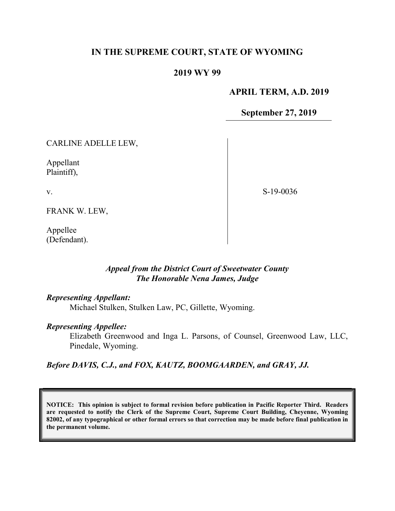## IN THE SUPREME COURT, STATE OF WYOMING

#### 2019 WY 99

#### APRIL TERM, A.D. 2019

September 27, 2019

S-19-0036

CARLINE ADELLE LEW,

Appellant Plaintiff),

v.

FRANK W. LEW,

Appellee (Defendant).

> Appeal from the District Court of Sweetwater County The Honorable Nena James, Judge

#### Representing Appellant:

Michael Stulken, Stulken Law, PC, Gillette, Wyoming.

#### Representing Appellee:

Elizabeth Greenwood and Inga L. Parsons, of Counsel, Greenwood Law, LLC, Pinedale, Wyoming.

## Before DAVIS, C.J., and FOX, KAUTZ, BOOMGAARDEN, and GRAY, JJ.

NOTICE: This opinion is subject to formal revision before publication in Pacific Reporter Third. Readers are requested to notify the Clerk of the Supreme Court, Supreme Court Building, Cheyenne, Wyoming 82002, of any typographical or other formal errors so that correction may be made before final publication in the permanent volume.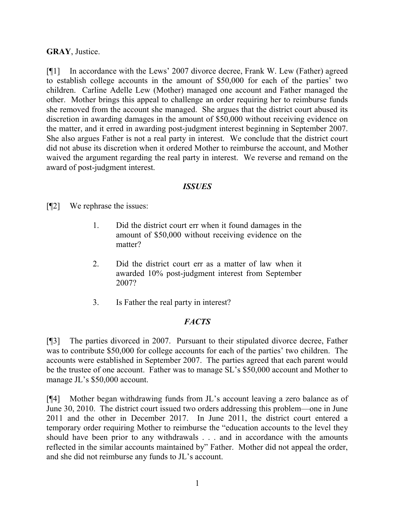#### GRAY, Justice.

[¶1] In accordance with the Lews' 2007 divorce decree, Frank W. Lew (Father) agreed to establish college accounts in the amount of \$50,000 for each of the parties' two children. Carline Adelle Lew (Mother) managed one account and Father managed the other. Mother brings this appeal to challenge an order requiring her to reimburse funds she removed from the account she managed. She argues that the district court abused its discretion in awarding damages in the amount of \$50,000 without receiving evidence on the matter, and it erred in awarding post-judgment interest beginning in September 2007. She also argues Father is not a real party in interest. We conclude that the district court did not abuse its discretion when it ordered Mother to reimburse the account, and Mother waived the argument regarding the real party in interest. We reverse and remand on the award of post-judgment interest.

#### ISSUES

[¶2] We rephrase the issues:

- 1. Did the district court err when it found damages in the amount of \$50,000 without receiving evidence on the matter?
- 2. Did the district court err as a matter of law when it awarded 10% post-judgment interest from September 2007?
- 3. Is Father the real party in interest?

## **FACTS**

[¶3] The parties divorced in 2007. Pursuant to their stipulated divorce decree, Father was to contribute \$50,000 for college accounts for each of the parties' two children. The accounts were established in September 2007. The parties agreed that each parent would be the trustee of one account. Father was to manage SL's \$50,000 account and Mother to manage JL's \$50,000 account.

[¶4] Mother began withdrawing funds from JL's account leaving a zero balance as of June 30, 2010. The district court issued two orders addressing this problem—one in June 2011 and the other in December 2017. In June 2011, the district court entered a temporary order requiring Mother to reimburse the "education accounts to the level they should have been prior to any withdrawals . . . and in accordance with the amounts reflected in the similar accounts maintained by" Father. Mother did not appeal the order, and she did not reimburse any funds to JL's account.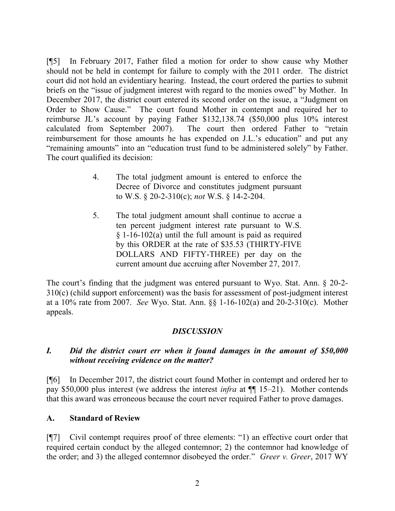[¶5] In February 2017, Father filed a motion for order to show cause why Mother should not be held in contempt for failure to comply with the 2011 order. The district court did not hold an evidentiary hearing. Instead, the court ordered the parties to submit briefs on the "issue of judgment interest with regard to the monies owed" by Mother. In December 2017, the district court entered its second order on the issue, a "Judgment on Order to Show Cause." The court found Mother in contempt and required her to reimburse JL's account by paying Father \$132,138.74 (\$50,000 plus 10% interest calculated from September 2007). The court then ordered Father to "retain reimbursement for those amounts he has expended on J.L.'s education" and put any "remaining amounts" into an "education trust fund to be administered solely" by Father. The court qualified its decision:

- 4. The total judgment amount is entered to enforce the Decree of Divorce and constitutes judgment pursuant to W.S. § 20-2-310(c); not W.S. § 14-2-204.
- 5. The total judgment amount shall continue to accrue a ten percent judgment interest rate pursuant to W.S. § 1-16-102(a) until the full amount is paid as required by this ORDER at the rate of \$35.53 (THIRTY-FIVE DOLLARS AND FIFTY-THREE) per day on the current amount due accruing after November 27, 2017.

The court's finding that the judgment was entered pursuant to Wyo. Stat. Ann. § 20-2- 310(c) (child support enforcement) was the basis for assessment of post-judgment interest at a 10% rate from 2007. See Wyo. Stat. Ann. §§ 1-16-102(a) and 20-2-310(c). Mother appeals.

## **DISCUSSION**

## I. Did the district court err when it found damages in the amount of \$50,000 without receiving evidence on the matter?

[¶6] In December 2017, the district court found Mother in contempt and ordered her to pay \$50,000 plus interest (we address the interest infra at ¶¶ 15–21). Mother contends that this award was erroneous because the court never required Father to prove damages.

## A. Standard of Review

[¶7] Civil contempt requires proof of three elements: "1) an effective court order that required certain conduct by the alleged contemnor; 2) the contemnor had knowledge of the order; and 3) the alleged contemnor disobeyed the order." Greer v. Greer, 2017 WY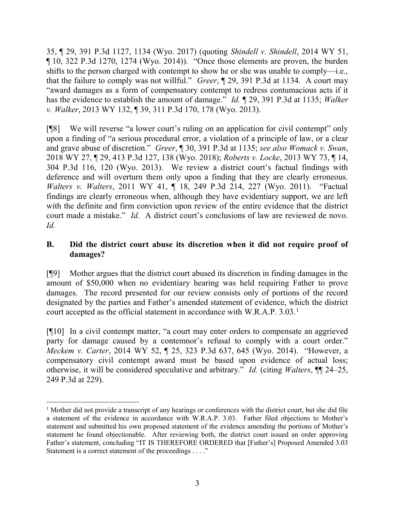35, ¶ 29, 391 P.3d 1127, 1134 (Wyo. 2017) (quoting Shindell v. Shindell, 2014 WY 51,  $\P$  10, 322 P.3d 1270, 1274 (Wyo. 2014)). "Once those elements are proven, the burden shifts to the person charged with contempt to show he or she was unable to comply—i.e., that the failure to comply was not willful." Greer,  $\P$  29, 391 P.3d at 1134. A court may "award damages as a form of compensatory contempt to redress contumacious acts if it has the evidence to establish the amount of damage." Id. ¶ 29, 391 P.3d at 1135; Walker v. Walker, 2013 WY 132, ¶ 39, 311 P.3d 170, 178 (Wyo. 2013).

[¶8] We will reverse "a lower court's ruling on an application for civil contempt" only upon a finding of "a serious procedural error, a violation of a principle of law, or a clear and grave abuse of discretion." Greer, ¶ 30, 391 P.3d at 1135; see also Womack v. Swan, 2018 WY 27, ¶ 29, 413 P.3d 127, 138 (Wyo. 2018); Roberts v. Locke, 2013 WY 73, ¶ 14, 304 P.3d 116, 120 (Wyo. 2013). We review a district court's factual findings with deference and will overturn them only upon a finding that they are clearly erroneous. Walters v. Walters, 2011 WY 41, ¶ 18, 249 P.3d 214, 227 (Wyo. 2011). "Factual findings are clearly erroneous when, although they have evidentiary support, we are left with the definite and firm conviction upon review of the entire evidence that the district court made a mistake." Id. A district court's conclusions of law are reviewed de novo. Id.

## B. Did the district court abuse its discretion when it did not require proof of damages?

[¶9] Mother argues that the district court abused its discretion in finding damages in the amount of \$50,000 when no evidentiary hearing was held requiring Father to prove damages. The record presented for our review consists only of portions of the record designated by the parties and Father's amended statement of evidence, which the district court accepted as the official statement in accordance with W.R.A.P.  $3.03$ .<sup>1</sup>

[¶10] In a civil contempt matter, "a court may enter orders to compensate an aggrieved party for damage caused by a contemnor's refusal to comply with a court order." Meckem v. Carter, 2014 WY 52, ¶ 25, 323 P.3d 637, 645 (Wyo. 2014). "However, a compensatory civil contempt award must be based upon evidence of actual loss; otherwise, it will be considered speculative and arbitrary." Id. (citing Walters, ¶¶ 24–25, 249 P.3d at 229).

 $\overline{a}$ 

<sup>&</sup>lt;sup>1</sup> Mother did not provide a transcript of any hearings or conferences with the district court, but she did file a statement of the evidence in accordance with W.R.A.P. 3.03. Father filed objections to Mother's statement and submitted his own proposed statement of the evidence amending the portions of Mother's statement he found objectionable. After reviewing both, the district court issued an order approving Father's statement, concluding "IT IS THEREFORE ORDERED that [Father's] Proposed Amended 3.03 Statement is a correct statement of the proceedings . . . ."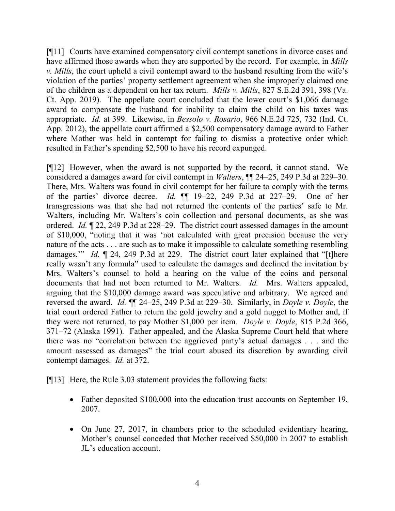[¶11] Courts have examined compensatory civil contempt sanctions in divorce cases and have affirmed those awards when they are supported by the record. For example, in *Mills* v. Mills, the court upheld a civil contempt award to the husband resulting from the wife's violation of the parties' property settlement agreement when she improperly claimed one of the children as a dependent on her tax return. Mills v. Mills, 827 S.E.2d 391, 398 (Va. Ct. App. 2019). The appellate court concluded that the lower court's \$1,066 damage award to compensate the husband for inability to claim the child on his taxes was appropriate. Id. at 399. Likewise, in Bessolo v. Rosario, 966 N.E.2d 725, 732 (Ind. Ct. App. 2012), the appellate court affirmed a \$2,500 compensatory damage award to Father where Mother was held in contempt for failing to dismiss a protective order which resulted in Father's spending \$2,500 to have his record expunged.

[¶12] However, when the award is not supported by the record, it cannot stand. We considered a damages award for civil contempt in Walters, ¶¶ 24–25, 249 P.3d at 229–30. There, Mrs. Walters was found in civil contempt for her failure to comply with the terms of the parties' divorce decree. Id. ¶¶ 19–22, 249 P.3d at 227–29. One of her transgressions was that she had not returned the contents of the parties' safe to Mr. Walters, including Mr. Walters's coin collection and personal documents, as she was ordered. Id. ¶ 22, 249 P.3d at 228–29. The district court assessed damages in the amount of \$10,000, "noting that it was 'not calculated with great precision because the very nature of the acts . . . are such as to make it impossible to calculate something resembling damages." Id.  $\lbrack \rbrack$  24, 249 P.3d at 229. The district court later explained that "[t]here really wasn't any formula" used to calculate the damages and declined the invitation by Mrs. Walters's counsel to hold a hearing on the value of the coins and personal documents that had not been returned to Mr. Walters. *Id.* Mrs. Walters appealed, arguing that the \$10,000 damage award was speculative and arbitrary. We agreed and reversed the award. Id. ¶¶ 24–25, 249 P.3d at 229–30. Similarly, in Doyle v. Doyle, the trial court ordered Father to return the gold jewelry and a gold nugget to Mother and, if they were not returned, to pay Mother \$1,000 per item. Doyle v. Doyle, 815 P.2d 366, 371–72 (Alaska 1991). Father appealed, and the Alaska Supreme Court held that where there was no "correlation between the aggrieved party's actual damages . . . and the amount assessed as damages" the trial court abused its discretion by awarding civil contempt damages. Id. at 372.

[¶13] Here, the Rule 3.03 statement provides the following facts:

- Father deposited \$100,000 into the education trust accounts on September 19, 2007.
- On June 27, 2017, in chambers prior to the scheduled evidentiary hearing, Mother's counsel conceded that Mother received \$50,000 in 2007 to establish JL's education account.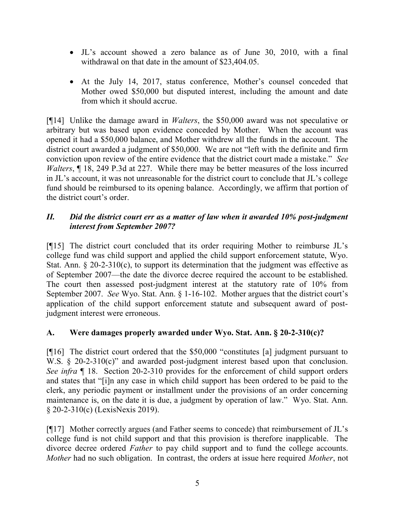- JL's account showed a zero balance as of June 30, 2010, with a final withdrawal on that date in the amount of \$23,404.05.
- At the July 14, 2017, status conference, Mother's counsel conceded that Mother owed \$50,000 but disputed interest, including the amount and date from which it should accrue.

[¶14] Unlike the damage award in Walters, the \$50,000 award was not speculative or arbitrary but was based upon evidence conceded by Mother. When the account was opened it had a \$50,000 balance, and Mother withdrew all the funds in the account. The district court awarded a judgment of \$50,000. We are not "left with the definite and firm conviction upon review of the entire evidence that the district court made a mistake." See Walters,  $\P$  18, 249 P.3d at 227. While there may be better measures of the loss incurred in JL's account, it was not unreasonable for the district court to conclude that JL's college fund should be reimbursed to its opening balance. Accordingly, we affirm that portion of the district court's order.

## II. Did the district court err as a matter of law when it awarded 10% post-judgment interest from September 2007?

[¶15] The district court concluded that its order requiring Mother to reimburse JL's college fund was child support and applied the child support enforcement statute, Wyo. Stat. Ann.  $\S 20$ -2-310(c), to support its determination that the judgment was effective as of September 2007—the date the divorce decree required the account to be established. The court then assessed post-judgment interest at the statutory rate of 10% from September 2007. See Wyo. Stat. Ann. § 1-16-102. Mother argues that the district court's application of the child support enforcement statute and subsequent award of postjudgment interest were erroneous.

# A. Were damages properly awarded under Wyo. Stat. Ann. § 20-2-310(c)?

[¶16] The district court ordered that the \$50,000 "constitutes [a] judgment pursuant to W.S. § 20-2-310(c)" and awarded post-judgment interest based upon that conclusion. See infra  $\P$  18. Section 20-2-310 provides for the enforcement of child support orders and states that "[i]n any case in which child support has been ordered to be paid to the clerk, any periodic payment or installment under the provisions of an order concerning maintenance is, on the date it is due, a judgment by operation of law." Wyo. Stat. Ann. § 20-2-310(c) (LexisNexis 2019).

[¶17] Mother correctly argues (and Father seems to concede) that reimbursement of JL's college fund is not child support and that this provision is therefore inapplicable. The divorce decree ordered Father to pay child support and to fund the college accounts. Mother had no such obligation. In contrast, the orders at issue here required Mother, not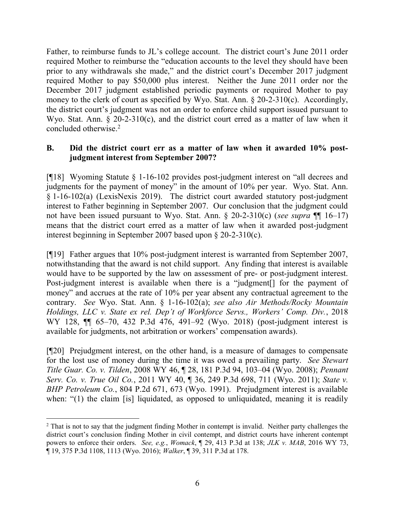Father, to reimburse funds to JL's college account. The district court's June 2011 order required Mother to reimburse the "education accounts to the level they should have been prior to any withdrawals she made," and the district court's December 2017 judgment required Mother to pay \$50,000 plus interest. Neither the June 2011 order nor the December 2017 judgment established periodic payments or required Mother to pay money to the clerk of court as specified by Wyo. Stat. Ann. § 20-2-310(c). Accordingly, the district court's judgment was not an order to enforce child support issued pursuant to Wyo. Stat. Ann. § 20-2-310(c), and the district court erred as a matter of law when it concluded otherwise.<sup>2</sup>

#### B. Did the district court err as a matter of law when it awarded 10% postjudgment interest from September 2007?

[¶18] Wyoming Statute § 1-16-102 provides post-judgment interest on "all decrees and judgments for the payment of money" in the amount of 10% per year. Wyo. Stat. Ann. § 1-16-102(a) (LexisNexis 2019). The district court awarded statutory post-judgment interest to Father beginning in September 2007. Our conclusion that the judgment could not have been issued pursuant to Wyo. Stat. Ann.  $\S$  20-2-310(c) (see supra  $\P$  16–17) means that the district court erred as a matter of law when it awarded post-judgment interest beginning in September 2007 based upon § 20-2-310(c).

[¶19] Father argues that 10% post-judgment interest is warranted from September 2007, notwithstanding that the award is not child support. Any finding that interest is available would have to be supported by the law on assessment of pre- or post-judgment interest. Post-judgment interest is available when there is a "judgment[] for the payment of money" and accrues at the rate of 10% per year absent any contractual agreement to the contrary. See Wyo. Stat. Ann. § 1-16-102(a); see also Air Methods/Rocky Mountain Holdings, LLC v. State ex rel. Dep't of Workforce Servs., Workers' Comp. Div., 2018 WY 128,  $\P$  65–70, 432 P.3d 476, 491–92 (Wyo. 2018) (post-judgment interest is available for judgments, not arbitration or workers' compensation awards).

[¶20] Prejudgment interest, on the other hand, is a measure of damages to compensate for the lost use of money during the time it was owed a prevailing party. See Stewart Title Guar. Co. v. Tilden, 2008 WY 46, ¶ 28, 181 P.3d 94, 103–04 (Wyo. 2008); Pennant Serv. Co. v. True Oil Co., 2011 WY 40, ¶ 36, 249 P.3d 698, 711 (Wyo. 2011); State v. BHP Petroleum Co., 804 P.2d 671, 673 (Wyo. 1991). Prejudgment interest is available when: "(1) the claim [is] liquidated, as opposed to unliquidated, meaning it is readily

 $\overline{a}$ 

<sup>&</sup>lt;sup>2</sup> That is not to say that the judgment finding Mother in contempt is invalid. Neither party challenges the district court's conclusion finding Mother in civil contempt, and district courts have inherent contempt powers to enforce their orders. See, e.g., Womack,  $\parallel$  29, 413 P.3d at 138; JLK v. MAB, 2016 WY 73, ¶ 19, 375 P.3d 1108, 1113 (Wyo. 2016); Walker, ¶ 39, 311 P.3d at 178.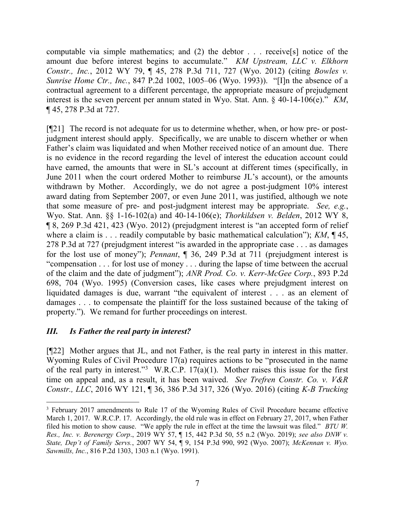computable via simple mathematics; and (2) the debtor . . . receive[s] notice of the amount due before interest begins to accumulate." KM Upstream, LLC v. Elkhorn Constr., Inc., 2012 WY 79, ¶ 45, 278 P.3d 711, 727 (Wyo. 2012) (citing Bowles v. Sunrise Home Ctr., Inc., 847 P.2d 1002, 1005–06 (Wyo. 1993)). "[I]n the absence of a contractual agreement to a different percentage, the appropriate measure of prejudgment interest is the seven percent per annum stated in Wyo. Stat. Ann.  $\frac{6}{9}$  40-14-106(e)." KM, ¶ 45, 278 P.3d at 727.

[¶21] The record is not adequate for us to determine whether, when, or how pre- or postjudgment interest should apply. Specifically, we are unable to discern whether or when Father's claim was liquidated and when Mother received notice of an amount due. There is no evidence in the record regarding the level of interest the education account could have earned, the amounts that were in SL's account at different times (specifically, in June 2011 when the court ordered Mother to reimburse JL's account), or the amounts withdrawn by Mother. Accordingly, we do not agree a post-judgment 10% interest award dating from September 2007, or even June 2011, was justified, although we note that some measure of pre- and post-judgment interest may be appropriate. See, e.g., Wyo. Stat. Ann. §§ 1-16-102(a) and 40-14-106(e); Thorkildsen v. Belden, 2012 WY 8, ¶ 8, 269 P.3d 421, 423 (Wyo. 2012) (prejudgment interest is "an accepted form of relief where a claim is . . . readily computable by basic mathematical calculation");  $KM$ ,  $\P$ 45, 278 P.3d at 727 (prejudgment interest "is awarded in the appropriate case . . . as damages for the lost use of money"); Pennant, ¶ 36, 249 P.3d at 711 (prejudgment interest is "compensation . . . for lost use of money . . . during the lapse of time between the accrual of the claim and the date of judgment"); ANR Prod. Co. v. Kerr-McGee Corp., 893 P.2d 698, 704 (Wyo. 1995) (Conversion cases, like cases where prejudgment interest on liquidated damages is due, warrant "the equivalent of interest . . . as an element of damages . . . to compensate the plaintiff for the loss sustained because of the taking of property."). We remand for further proceedings on interest.

## III. Is Father the real party in interest?

 $\overline{a}$ 

[¶22] Mother argues that JL, and not Father, is the real party in interest in this matter. Wyoming Rules of Civil Procedure 17(a) requires actions to be "prosecuted in the name of the real party in interest."<sup>3</sup> W.R.C.P. 17(a)(1). Mother raises this issue for the first time on appeal and, as a result, it has been waived. See Trefren Constr. Co. v. V&R Constr., LLC, 2016 WY 121, ¶ 36, 386 P.3d 317, 326 (Wyo. 2016) (citing K-B Trucking

 $3$  February 2017 amendments to Rule 17 of the Wyoming Rules of Civil Procedure became effective March 1, 2017. W.R.C.P. 17. Accordingly, the old rule was in effect on February 27, 2017, when Father filed his motion to show cause. "We apply the rule in effect at the time the lawsuit was filed." BTU W. Res., Inc. v. Berenergy Corp., 2019 WY 57, ¶ 15, 442 P.3d 50, 55 n.2 (Wyo. 2019); see also DNW v. State, Dep't of Family Servs., 2007 WY 54, ¶ 9, 154 P.3d 990, 992 (Wyo. 2007); McKennan v. Wyo. Sawmills, Inc., 816 P.2d 1303, 1303 n.1 (Wyo. 1991).